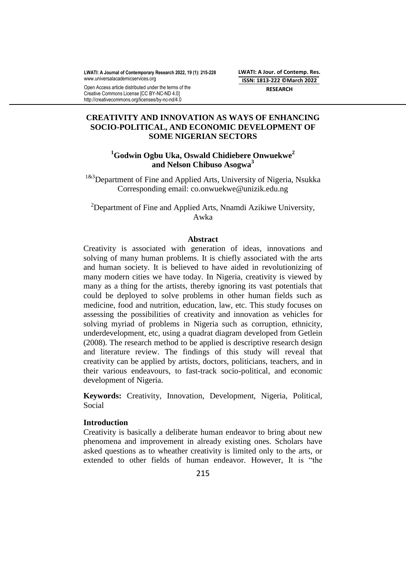**LWATI: A Jour. of Contemp. Res. ISSN: 1813-222 ©March 2022 RESEARCH**

# **CREATIVITY AND INNOVATION AS WAYS OF ENHANCING SOCIO-POLITICAL, AND ECONOMIC DEVELOPMENT OF SOME NIGERIAN SECTORS**

# **<sup>1</sup>Godwin Ogbu Uka, Oswald Chidiebere Onwuekwe<sup>2</sup> and Nelson Chibuso Asogwa<sup>3</sup>**

<sup>1&3</sup>Department of Fine and Applied Arts, University of Nigeria, Nsukka Corresponding email: co.onwuekwe@unizik.edu.ng

<sup>2</sup>Department of Fine and Applied Arts, Nnamdi Azikiwe University, Awka

### **Abstract**

Creativity is associated with generation of ideas, innovations and solving of many human problems. It is chiefly associated with the arts and human society. It is believed to have aided in revolutionizing of many modern cities we have today. In Nigeria, creativity is viewed by many as a thing for the artists, thereby ignoring its vast potentials that could be deployed to solve problems in other human fields such as medicine, food and nutrition, education, law, etc. This study focuses on assessing the possibilities of creativity and innovation as vehicles for solving myriad of problems in Nigeria such as corruption, ethnicity, underdevelopment, etc, using a quadrat diagram developed from Getlein (2008). The research method to be applied is descriptive research design and literature review. The findings of this study will reveal that creativity can be applied by artists, doctors, politicians, teachers, and in their various endeavours, to fast-track socio-political, and economic development of Nigeria.

**Keywords:** Creativity, Innovation, Development, Nigeria, Political, Social

## **Introduction**

Creativity is basically a deliberate human endeavor to bring about new phenomena and improvement in already existing ones. Scholars have asked questions as to wheather creativity is limited only to the arts, or extended to other fields of human endeavor. However, It is "the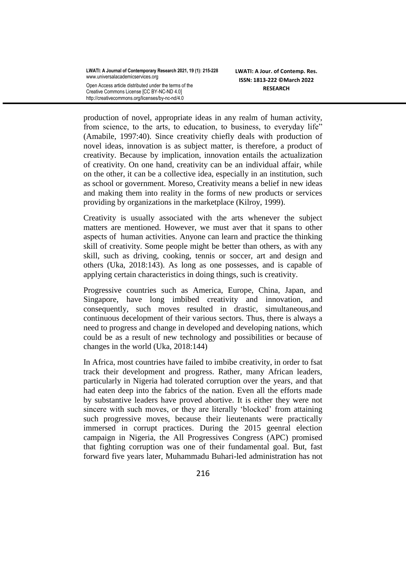| LWATI: A Journal of Contemporary Research 2021, 19 (1): 215-228 |
|-----------------------------------------------------------------|
| www.universalacademicservices.org                               |
| Open Access article distributed under the terms of the          |
| Creative Commons License [CC BY-NC-ND 4.0]                      |
| http://creativecommons.org/licenses/by-nc-nd/4.0                |

production of novel, appropriate ideas in any realm of human activity, from science, to the arts, to education, to business, to everyday life" (Amabile, 1997:40). Since creativity chiefly deals with production of novel ideas, innovation is as subject matter, is therefore, a product of creativity. Because by implication, innovation entails the actualization of creativity. On one hand, creativity can be an individual affair, while on the other, it can be a collective idea, especially in an institution, such as school or government. Moreso, Creativity means a belief in new ideas and making them into reality in the forms of new products or services providing by organizations in the marketplace (Kilroy, 1999).

Creativity is usually associated with the arts whenever the subject matters are mentioned. However, we must aver that it spans to other aspects of human activities. Anyone can learn and practice the thinking skill of creativity. Some people might be better than others, as with any skill, such as driving, cooking, tennis or soccer, art and design and others (Uka, 2018:143). As long as one possesses, and is capable of applying certain characteristics in doing things, such is creativity.

Progressive countries such as America, Europe, China, Japan, and Singapore, have long imbibed creativity and innovation, and consequently, such moves resulted in drastic, simultaneous,and continuous decelopment of their various sectors. Thus, there is always a need to progress and change in developed and developing nations, which could be as a result of new technology and possibilities or because of changes in the world (Uka, 2018:144)

In Africa, most countries have failed to imbibe creativity, in order to fsat track their development and progress. Rather, many African leaders, particularly in Nigeria had tolerated corruption over the years, and that had eaten deep into the fabrics of the nation. Even all the efforts made by substantive leaders have proved abortive. It is either they were not sincere with such moves, or they are literally 'blocked' from attaining such progressive moves, because their lieutenants were practically immersed in corrupt practices. During the 2015 geenral election campaign in Nigeria, the All Progressives Congress (APC) promised that fighting corruption was one of their fundamental goal. But, fast forward five years later, Muhammadu Buhari-led administration has not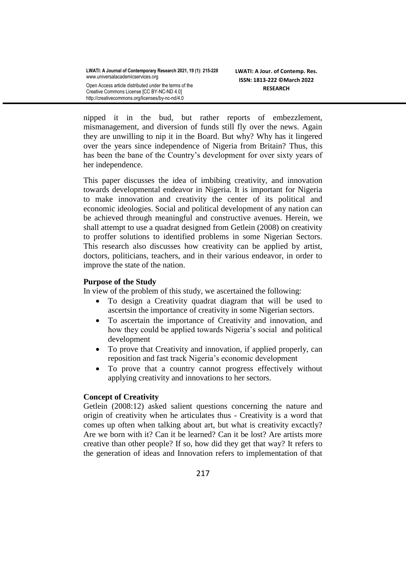| LWATI: A Journal of Contemporary Research 2021, 19 (1): 215-228 |
|-----------------------------------------------------------------|
| www.universalacademicservices.org                               |
| Open Access article distributed under the terms of the          |
| Creative Commons License [CC BY-NC-ND 4.0]                      |
| http://creativecommons.org/licenses/by-nc-nd/4.0                |

nipped it in the bud, but rather reports of embezzlement, mismanagement, and diversion of funds still fly over the news. Again they are unwilling to nip it in the Board. But why? Why has it lingered over the years since independence of Nigeria from Britain? Thus, this has been the bane of the Country's development for over sixty years of her independence.

This paper discusses the idea of imbibing creativity, and innovation towards developmental endeavor in Nigeria. It is important for Nigeria to make innovation and creativity the center of its political and economic ideologies. Social and political development of any nation can be achieved through meaningful and constructive avenues. Herein, we shall attempt to use a quadrat designed from Getlein (2008) on creativity to proffer solutions to identified problems in some Nigerian Sectors. This research also discusses how creativity can be applied by artist, doctors, politicians, teachers, and in their various endeavor, in order to improve the state of the nation.

# **Purpose of the Study**

In view of the problem of this study, we ascertained the following:

- To design a Creativity quadrat diagram that will be used to ascertsin the importance of creativity in some Nigerian sectors.
- To ascertain the importance of Creativity and innovation, and how they could be applied towards Nigeria's social and political development
- To prove that Creativity and innovation, if applied properly, can reposition and fast track Nigeria's economic development
- To prove that a country cannot progress effectively without applying creativity and innovations to her sectors.

# **Concept of Creativity**

Getlein (2008:12) asked salient questions concerning the nature and origin of creativity when he articulates thus - Creativity is a word that comes up often when talking about art, but what is creativity excactly? Are we born with it? Can it be learned? Can it be lost? Are artists more creative than other people? If so, how did they get that way? It refers to the generation of ideas and Innovation refers to implementation of that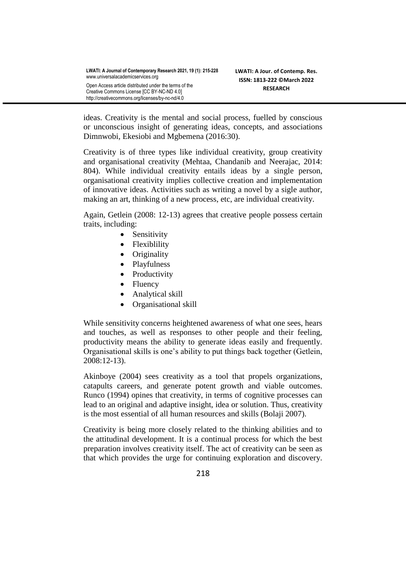| LWATI: A Journal of Contemporary Research 2021, 19 (1): 215-228 |
|-----------------------------------------------------------------|
| www.universalacademicservices.org                               |
| Open Access article distributed under the terms of the          |
| Creative Commons License [CC BY-NC-ND 4.0]                      |
| http://creativecommons.org/licenses/by-nc-nd/4.0                |

ideas. Creativity is the mental and social process, fuelled by conscious or unconscious insight of generating ideas, concepts, and associations Dimnwobi, Ekesiobi and Mgbemena (2016:30).

Creativity is of three types like individual creativity, group creativity and organisational creativity (Mehtaa, Chandanib and Neerajac, 2014: 804). While individual creativity entails ideas by a single person, organisational creativity implies collective creation and implementation of innovative ideas. Activities such as writing a novel by a sigle author, making an art, thinking of a new process, etc, are individual creativity.

Again, Getlein (2008: 12-13) agrees that creative people possess certain traits, including:

- Sensitivity
- Flexiblility
- Originality
- Playfulness
- Productivity
- Fluency
- Analytical skill
- Organisational skill

While sensitivity concerns heightened awareness of what one sees, hears and touches, as well as responses to other people and their feeling, productivity means the ability to generate ideas easily and frequently. Organisational skills is one's ability to put things back together (Getlein, 2008:12-13).

Akinboye (2004) sees creativity as a tool that propels organizations, catapults careers, and generate potent growth and viable outcomes. Runco (1994) opines that creativity, in terms of cognitive processes can lead to an original and adaptive insight, idea or solution. Thus, creativity is the most essential of all human resources and skills (Bolaji 2007).

Creativity is being more closely related to the thinking abilities and to the attitudinal development. It is a continual process for which the best preparation involves creativity itself. The act of creativity can be seen as that which provides the urge for continuing exploration and discovery.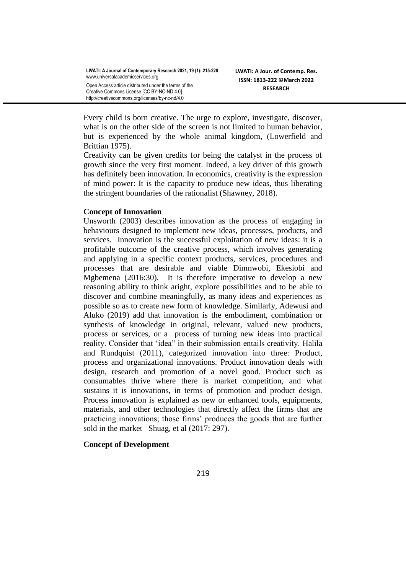Every child is born creative. The urge to explore, investigate, discover, what is on the other side of the screen is not limited to human behavior, but is experienced by the whole animal kingdom, (Lowerfield and Brittian 1975).

Creativity can be given credits for being the catalyst in the process of growth since the very first moment. Indeed, a key driver of this growth has definitely been innovation. In economics, creativity is the expression of mind power: It is the capacity to produce new ideas, thus liberating the stringent boundaries of the rationalist (Shawney, 2018).

# **Concept of Innovation**

Unsworth (2003) describes innovation as the process of engaging in behaviours designed to implement new ideas, processes, products, and services. Innovation is the successful exploitation of new ideas: it is a profitable outcome of the creative process, which involves generating and applying in a specific context products, services, procedures and processes that are desirable and viable Dimnwobi, Ekesiobi and Mgbemena (2016:30). It is therefore imperative to develop a new reasoning ability to think aright, explore possibilities and to be able to discover and combine meaningfully, as many ideas and experiences as possible so as to create new form of knowledge. Similarly, Adewusi and Aluko (2019) add that innovation is the embodiment, combination or synthesis of knowledge in original, relevant, valued new products, process or services, or a process of turning new ideas into practical reality. Consider that 'idea" in their submission entails creativity. Halila and Rundquist (2011), categorized innovation into three: Product, process and organizational innovations. Product innovation deals with design, research and promotion of a novel good. Product such as consumables thrive where there is market competition, and what sustains it is innovations, in terms of promotion and product design. Process innovation is explained as new or enhanced tools, equipments, materials, and other technologies that directly affect the firms that are practicing innovations; those firms' produces the goods that are further sold in the market Shuag, et al (2017: 297).

# **Concept of Development**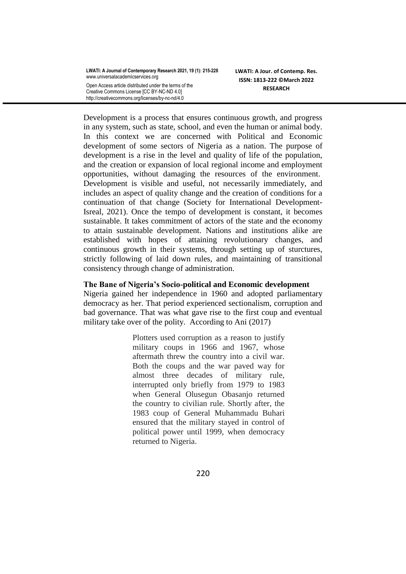| LWATI: A Journal of Contemporary Research 2021, 19 (1): 215-228 |
|-----------------------------------------------------------------|
| www.universalacademicservices.org                               |
| Open Access article distributed under the terms of the          |
| Creative Commons License [CC BY-NC-ND 4.0]                      |
| http://creativecommons.org/licenses/by-nc-nd/4.0                |

Development is a process that ensures continuous growth, and progress in any system, such as state, school, and even the human or animal body. In this context we are concerned with Political and Economic development of some sectors of Nigeria as a nation. The purpose of development is a rise in the level and quality of life of the population, and the creation or expansion of local regional income and employment opportunities, without damaging the resources of the environment. Development is visible and useful, not necessarily immediately, and includes an aspect of quality change and the creation of conditions for a continuation of that change (Society for International Development-Isreal, 2021). Once the tempo of development is constant, it becomes sustainable. It takes commitment of actors of the state and the economy to attain sustainable development. Nations and institutions alike are established with hopes of attaining revolutionary changes, and continuous growth in their systems, through setting up of sturctures, strictly following of laid down rules, and maintaining of transitional consistency through change of administration.

# **The Bane of Nigeria's Socio-political and Economic development**

Nigeria gained her independence in 1960 and adopted parliamentary democracy as her. That period experienced sectionalism, corruption and bad governance. That was what gave rise to the first coup and eventual military take over of the polity. According to Ani (2017)

> Plotters used corruption as a reason to justify military coups in 1966 and 1967, whose aftermath threw the country into a civil war. Both the coups and the war paved way for almost three decades of military rule, interrupted only briefly from 1979 to 1983 when General Olusegun Obasanjo returned the country to civilian rule. Shortly after, the 1983 coup of General Muhammadu Buhari ensured that the military stayed in control of political power until 1999, when democracy returned to Nigeria.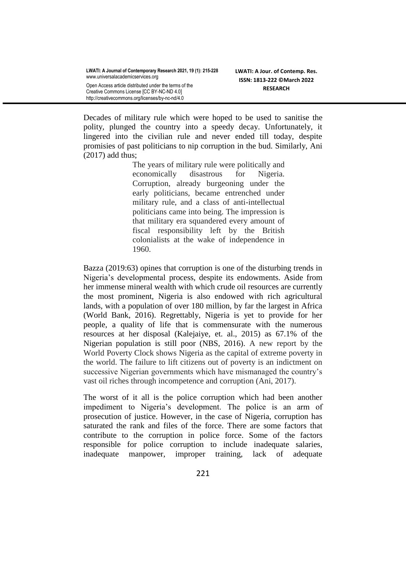Decades of military rule which were hoped to be used to sanitise the polity, plunged the country into a speedy decay. Unfortunately, it lingered into the civilian rule and never ended till today, despite promisies of past politicians to nip corruption in the bud. Similarly, Ani (2017) add thus;

> The years of military rule were politically and economically disastrous for Nigeria. Corruption, already burgeoning under the early politicians, became entrenched under military rule, and a class of anti-intellectual politicians came into being. The impression is that military era squandered every amount of fiscal responsibility left by the British colonialists at the wake of independence in 1960.

Bazza (2019:63) opines that corruption is one of the disturbing trends in Nigeria's developmental process, despite its endowments. Aside from her immense mineral wealth with which crude oil resources are currently the most prominent, Nigeria is also endowed with rich agricultural lands, with a population of over 180 million, by far the largest in Africa (World Bank, 2016). Regrettably, Nigeria is yet to provide for her people, a quality of life that is commensurate with the numerous resources at her disposal (Kalejaiye, et. al., 2015) as 67.1% of the Nigerian population is still poor (NBS, 2016). A new report by the World Poverty Clock shows Nigeria as the capital of extreme poverty in the world. The failure to lift citizens out of poverty is an indictment on successive Nigerian governments which have mismanaged the country's vast oil riches through incompetence and corruption (Ani, 2017).

The worst of it all is the police corruption which had been another impediment to Nigeria's development. The police is an arm of prosecution of justice. However, in the case of Nigeria, corruption has saturated the rank and files of the force. There are some factors that contribute to the corruption in police force. Some of the factors responsible for police corruption to include inadequate salaries, inadequate manpower, improper training, lack of adequate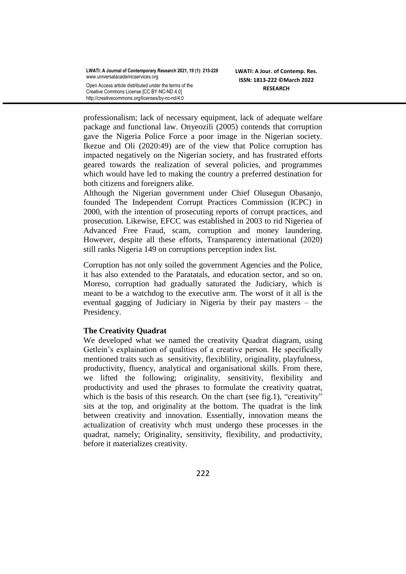professionalism; lack of necessary equipment, lack of adequate welfare package and functional law. Onyeozili (2005) contends that corruption gave the Nigeria Police Force a poor image in the Nigerian society. Ikezue and Oli (2020:49) are of the view that Police corruption has impacted negatively on the Nigerian society, and has frustrated efforts geared towards the realization of several policies, and programmes which would have led to making the country a preferred destination for both citizens and foreigners alike.

Although the Nigerian government under Chief Olusegun Obasanjo, founded The Independent Corrupt Practices Commission (ICPC) in 2000, with the intention of prosecuting reports of corrupt practices, and prosecution. Likewise, EFCC was established in 2003 to rid Nigeriea of Advanced Free Fraud, scam, corruption and money laundering. However, despite all these efforts, Transparency international (2020) still ranks Nigeria 149 on corruptions perception index list.

Corruption has not only soiled the government Agencies and the Police, it has also extended to the Paratatals, and education sector, and so on. Moreso, corruption had gradually saturated the Judiciary, which is meant to be a watchdog to the executive arm. The worst of it all is the eventual gagging of Judiciary in Nigeria by their pay masters – the Presidency.

# **The Creativity Quadrat**

We developed what we named the creativity Quadrat diagram, using Getlein's explaination of qualities of a creative person. He specifically mentioned traits such as sensitivity, flexiblility, originality, playfulness, productivity, fluency, analytical and organisational skills. From there, we lifted the following; originality, sensitivity, flexibility and productivity and used the phrases to formulate the creativity quatrat, which is the basis of this research. On the chart (see fig.1), "creativity" sits at the top, and originality at the bottom. The quadrat is the link between creativity and innovation. Essentially, innovation means the actualization of creativity whch must undergo these processes in the quadrat, namely; Originality, sensitivity, flexibility, and productivity, before it materializes creativity.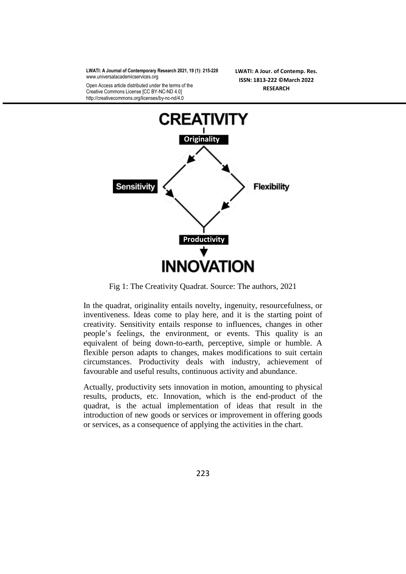**LWATI: A Journal of Contemporary Research 2021, 19 (1): 215-228** [www.universalacademicservices.org](http://www.universalacademicservices.org/)

Open Access article distributed under the terms of the Creative Commons License [CC BY-NC-ND 4.0] http://creativecommons.org/licenses/by-nc-nd/4.0

**LWATI: A Jour. of Contemp. Res. ISSN: 1813-222 ©March 2022 RESEARCH**



Fig 1: The Creativity Quadrat. Source: The authors, 2021

In the quadrat, originality entails novelty, ingenuity, resourcefulness, or inventiveness. Ideas come to play here, and it is the starting point of creativity. Sensitivity entails response to influences, changes in other people's feelings, the environment, or events. This quality is an equivalent of being down-to-earth, perceptive, simple or humble. A flexible person adapts to changes, makes modifications to suit certain circumstances. Productivity deals with industry, achievement of favourable and useful results, continuous activity and abundance.

Actually, productivity sets innovation in motion, amounting to physical results, products, etc. Innovation, which is the end-product of the quadrat, is the actual implementation of ideas that result in the introduction of new goods or services or improvement in offering goods or services, as a consequence of applying the activities in the chart.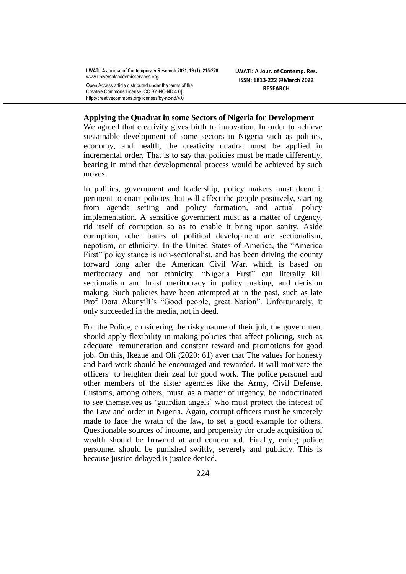**LWATI: A Journal of Contemporary Research 2021, 19 (1): 215-228** [www.universalacademicservices.org](http://www.universalacademicservices.org/) Open Access article distributed under the terms of the Creative Commons License [CC BY-NC-ND 4.0] http://creativecommons.org/licenses/by-nc-nd/4.0

**LWATI: A Jour. of Contemp. Res. ISSN: 1813-222 ©March 2022 RESEARCH**

#### **Applying the Quadrat in some Sectors of Nigeria for Development**

We agreed that creativity gives birth to innovation. In order to achieve sustainable development of some sectors in Nigeria such as politics, economy, and health, the creativity quadrat must be applied in incremental order. That is to say that policies must be made differently, bearing in mind that developmental process would be achieved by such moves.

In politics, government and leadership, policy makers must deem it pertinent to enact policies that will affect the people positively, starting from agenda setting and policy formation, and actual policy implementation. A sensitive government must as a matter of urgency, rid itself of corruption so as to enable it bring upon sanity. Aside corruption, other banes of political development are sectionalism, nepotism, or ethnicity. In the United States of America, the "America First" policy stance is non-sectionalist, and has been driving the county forward long after the American Civil War, which is based on meritocracy and not ethnicity. "Nigeria First" can literally kill sectionalism and hoist meritocracy in policy making, and decision making. Such policies have been attempted at in the past, such as late Prof Dora Akunyili's "Good people, great Nation". Unfortunately, it only succeeded in the media, not in deed.

For the Police, considering the risky nature of their job, the government should apply flexibility in making policies that affect policing, such as adequate remuneration and constant reward and promotions for good job. On this, Ikezue and Oli (2020: 61) aver that The values for honesty and hard work should be encouraged and rewarded. It will motivate the officers to heighten their zeal for good work. The police personel and other members of the sister agencies like the Army, Civil Defense, Customs, among others, must, as a matter of urgency, be indoctrinated to see themselves as ‗guardian angels' who must protect the interest of the Law and order in Nigeria. Again, corrupt officers must be sincerely made to face the wrath of the law, to set a good example for others. Questionable sources of income, and propensity for crude acquisition of wealth should be frowned at and condemned. Finally, erring police personnel should be punished swiftly, severely and publicly. This is because justice delayed is justice denied.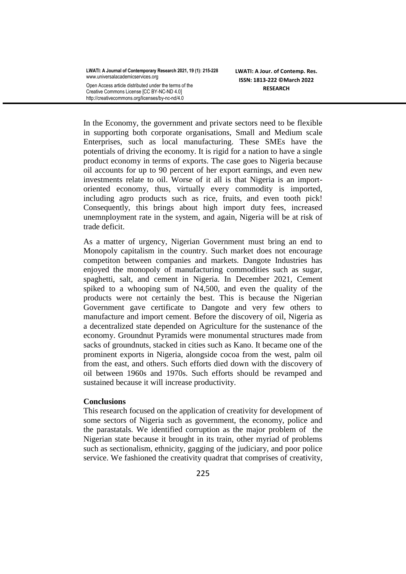| LWATI: A Journal of Contemporary Research 2021, 19 (1): 215-228<br>www.universalacademicservices.org |
|------------------------------------------------------------------------------------------------------|
| Open Access article distributed under the terms of the                                               |
| Creative Commons License [CC BY-NC-ND 4.0]                                                           |
| http://creativecommons.org/licenses/by-nc-nd/4.0                                                     |

In the Economy, the government and private sectors need to be flexible in supporting both corporate organisations, Small and Medium scale Enterprises, such as local manufacturing. These SMEs have the potentials of driving the economy. It is rigid for a nation to have a single product economy in terms of exports. The case goes to Nigeria because oil accounts for up to 90 percent of her export earnings, and even new investments relate to oil. Worse of it all is that Nigeria is an importoriented economy, thus, virtually every commodity is imported, including agro products such as rice, fruits, and even tooth pick! Consequently, this brings about high import duty fees, increased unemnployment rate in the system, and again, Nigeria will be at risk of trade deficit.

As a matter of urgency, Nigerian Government must bring an end to Monopoly capitalism in the country. Such market does not encourage competiton between companies and markets. Dangote Industries has enjoyed the monopoly of manufacturing commodities such as sugar, spaghetti, salt, and cement in Nigeria. In December 2021, Cement spiked to a whooping sum of N4,500, and even the quality of the products were not certainly the best. This is because the Nigerian Government gave certificate to Dangote and very few others to manufacture and import cement. Before the discovery of oil, Nigeria as a decentralized state depended on Agriculture for the sustenance of the economy. Groundnut Pyramids were monumental structures made from sacks of groundnuts, stacked in cities such as Kano. It became one of the prominent exports in Nigeria, alongside cocoa from the west, palm oil from the east, and others. Such efforts died down with the discovery of oil between 1960s and 1970s. Such efforts should be revamped and sustained because it will increase productivity.

## **Conclusions**

This research focused on the application of creativity for development of some sectors of Nigeria such as government, the economy, police and the parastatals. We identified corruption as the major problem of the Nigerian state because it brought in its train, other myriad of problems such as sectionalism, ethnicity, gagging of the judiciary, and poor police service. We fashioned the creativity quadrat that comprises of creativity,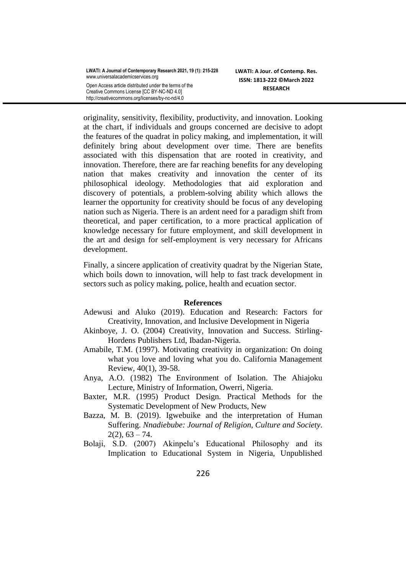originality, sensitivity, flexibility, productivity, and innovation. Looking at the chart, if individuals and groups concerned are decisive to adopt the features of the quadrat in policy making, and implementation, it will definitely bring about development over time. There are benefits associated with this dispensation that are rooted in creativity, and innovation. Therefore, there are far reaching benefits for any developing nation that makes creativity and innovation the center of its philosophical ideology. Methodologies that aid exploration and discovery of potentials, a problem-solving ability which allows the learner the opportunity for creativity should be focus of any developing nation such as Nigeria. There is an ardent need for a paradigm shift from theoretical, and paper certification, to a more practical application of knowledge necessary for future employment, and skill development in the art and design for self-employment is very necessary for Africans development.

Finally, a sincere application of creativity quadrat by the Nigerian State, which boils down to innovation, will help to fast track development in sectors such as policy making, police, health and ecuation sector.

## **References**

- Adewusi and Aluko (2019). Education and Research: Factors for Creativity, Innovation, and Inclusive Development in Nigeria
- Akinboye, J. O. (2004) Creativity, Innovation and Success. Stirling-Hordens Publishers Ltd, Ibadan-Nigeria.
- Amabile, T.M. (1997). Motivating creativity in organization: On doing what you love and loving what you do. California Management Review, 40(1), 39-58.
- Anya, A.O. (1982) The Environment of Isolation. The Ahiajoku Lecture, Ministry of Information, Owerri, Nigeria.
- Baxter, M.R. (1995) Product Design. Practical Methods for the Systematic Development of New Products, New
- Bazza, M. B. (2019). Igwebuike and the interpretation of Human Suffering. *Nnadiebube: Journal of Religion, Culture and Society*.  $2(2)$ ,  $63 - 74$ .
- Bolaji, S.D. (2007) Akinpelu's Educational Philosophy and its Implication to Educational System in Nigeria, Unpublished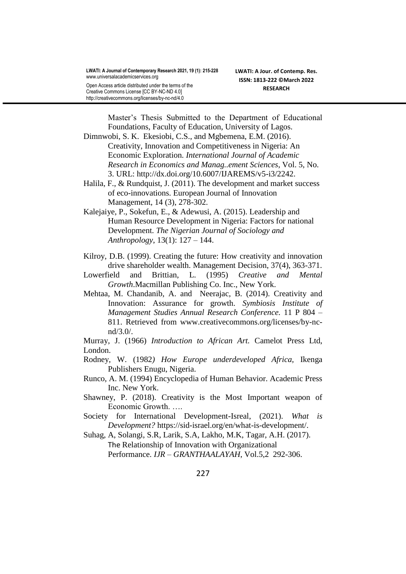Master's Thesis Submitted to the Department of Educational Foundations, Faculty of Education, University of Lagos.

- Dimnwobi, S. K. Ekesiobi, C.S., and Mgbemena, E.M. (2016). Creativity, Innovation and Competitiveness in Nigeria: An Economic Exploration. *International Journal of Academic Research in Economics and Manag..ement Sciences*, Vol. 5, No. 3. URL: [http://dx.doi.org/10.6007/IJAREMS/v5-i3/2242.](http://dx.doi.org/10.6007/IJAREMS/v5-i3/2242)
- Halila, F., & Rundquist, J. (2011). The development and market success of eco-innovations. European Journal of Innovation Management, 14 (3), 278-302.
- Kalejaiye, P., Sokefun, E., & Adewusi, A. (2015). Leadership and Human Resource Development in Nigeria: Factors for national Development. *The Nigerian Journal of Sociology and Anthropology*, 13(1): 127 – 144.
- Kilroy, D.B. (1999). Creating the future: How creativity and innovation drive shareholder wealth. Management Decision, 37(4), 363-371.
- Lowerfield and Brittian, L. (1995) *Creative and Mental Growth*.Macmillan Publishing Co. Inc., New York.
- Mehtaa, M. Chandanib, A. and Neerajac, B. (2014). Creativity and Innovation: Assurance for growth. *Symbiosis Institute of Management Studies Annual Research Conference.* 11 P 804 – 811. Retrieved from www[.creativecommons.org/](http://creativecommons.org/licenses/by-nc-nd/3.0/)licenses/by-ncnd/3.0/.

Murray, J. (1966) *Introduction to African Art.* Camelot Press Ltd, London.

- Rodney, W. (1982*) How Europe underdeveloped Africa,* Ikenga Publishers Enugu, Nigeria.
- Runco, A. M. (1994) Encyclopedia of Human Behavior. Academic Press Inc. New York.
- Shawney, P. (2018). Creativity is the Most Important weapon of Economic Growth. ….
- Society for International Development-Isreal, (2021). *What is Development?* https://sid-israel.org/en/what-is-development/.
- Suhag, A, Solangi, S.R, Larik, S.A, Lakho, M.K, Tagar, A.H. (2017). The Relationship of Innovation with Organizational Performance. *IJR – GRANTHAALAYAH*, Vol.5,2 292-306.